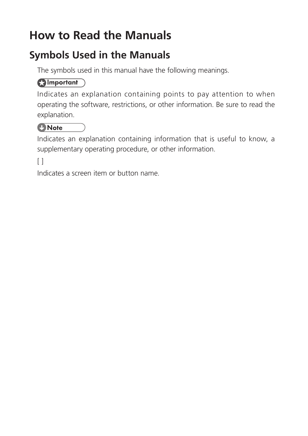# **How to Read the Manuals**

#### **Symbols Used in the Manuals**

The symbols used in this manual have the following meanings.

#### **Almportant**

Indicates an explanation containing points to pay attention to when operating the software, restrictions, or other information. Be sure to read the explanation.

#### *D* Note

Indicates an explanation containing information that is useful to know, a supplementary operating procedure, or other information.

#### $\lceil$

Indicates a screen item or button name.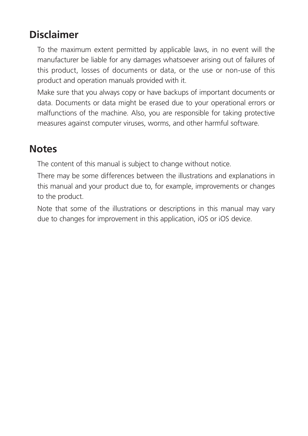#### **Disclaimer**

To the maximum extent permitted by applicable laws, in no event will the manufacturer be liable for any damages whatsoever arising out of failures of this product, losses of documents or data, or the use or non-use of this product and operation manuals provided with it.

Make sure that you always copy or have backups of important documents or data. Documents or data might be erased due to your operational errors or malfunctions of the machine. Also, you are responsible for taking protective measures against computer viruses, worms, and other harmful software.

#### **Notes**

The content of this manual is subject to change without notice.

There may be some differences between the illustrations and explanations in this manual and your product due to, for example, improvements or changes to the product.

Note that some of the illustrations or descriptions in this manual may vary due to changes for improvement in this application, iOS or iOS device.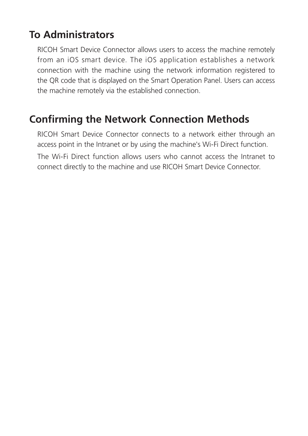#### **To Administrators**

RICOH Smart Device Connector allows users to access the machine remotely from an iOS smart device. The iOS application establishes a network connection with the machine using the network information registered to the QR code that is displayed on the Smart Operation Panel. Users can access the machine remotely via the established connection.

#### **Confirming the Network Connection Methods**

RICOH Smart Device Connector connects to a network either through an access point in the Intranet or by using the machine's Wi-Fi Direct function. The Wi-Fi Direct function allows users who cannot access the Intranet to connect directly to the machine and use RICOH Smart Device Connector.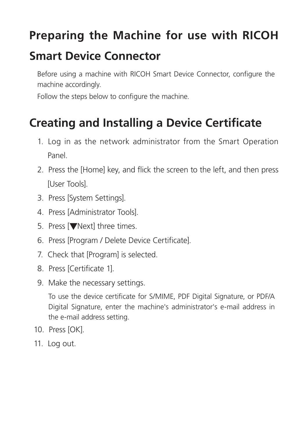# **Preparing the Machine for use with RICOH**

### **Smart Device Connector**

Before using a machine with RICOH Smart Device Connector, configure the machine accordingly.

Follow the steps below to configure the machine.

# **Creating and Installing a Device Certificate**

- 1. Log in as the network administrator from the Smart Operation Panel.
- 2. Press the [Home] key, and flick the screen to the left, and then press [User Tools].
- 3. Press [System Settings].
- 4. Press [Administrator Tools].
- 5. Press [▼Next] three times.
- 6. Press [Program / Delete Device Certificate].
- 7. Check that [Program] is selected.
- 8. Press [Certificate 1].
- 9. Make the necessary settings.

To use the device certificate for S/MIME, PDF Digital Signature, or PDF/A Digital Signature, enter the machine's administrator's e-mail address in the e-mail address setting.

- 10. Press [OK].
- 11. Log out.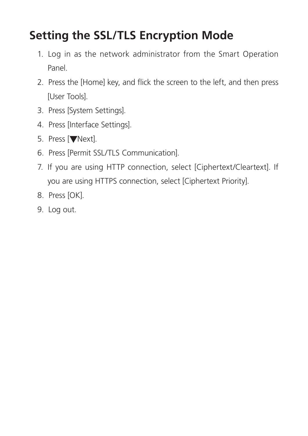# **Setting the SSL/TLS Encryption Mode**

- 1. Log in as the network administrator from the Smart Operation Panel.
- 2. Press the [Home] key, and flick the screen to the left, and then press [User Tools].
- 3. Press [System Settings].
- 4. Press [Interface Settings].
- 5. Press [VNext].
- 6. Press [Permit SSL/TLS Communication].
- 7. If you are using HTTP connection, select [Ciphertext/Cleartext]. If you are using HTTPS connection, select [Ciphertext Priority].
- 8. Press [OK].
- 9. Log out.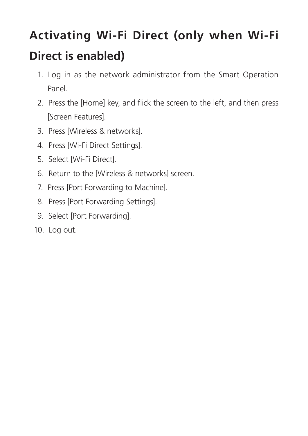# **Activating Wi-Fi Direct (only when Wi-Fi Direct is enabled)**

- 1. Log in as the network administrator from the Smart Operation Panel.
- 2. Press the [Home] key, and flick the screen to the left, and then press [Screen Features].
- 3. Press [Wireless & networks].
- 4. Press [Wi-Fi Direct Settings].
- 5. Select [Wi-Fi Direct].
- 6. Return to the [Wireless & networks] screen.
- 7. Press [Port Forwarding to Machine].
- 8. Press [Port Forwarding Settings].
- 9. Select [Port Forwarding].
- 10. Log out.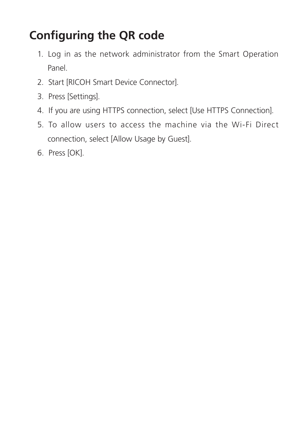# **Configuring the QR code**

- 1. Log in as the network administrator from the Smart Operation Panel.
- 2. Start [RICOH Smart Device Connector].
- 3. Press [Settings].
- 4. If you are using HTTPS connection, select [Use HTTPS Connection].
- 5. To allow users to access the machine via the Wi-Fi Direct connection, select [Allow Usage by Guest].
- 6. Press [OK].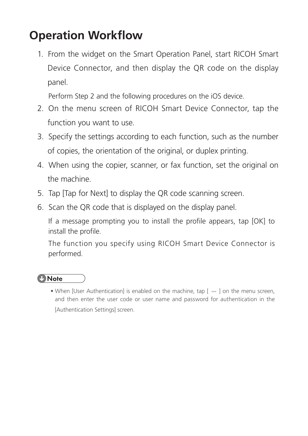# **Operation Workflow**

1. From the widget on the Smart Operation Panel, start RICOH Smart Device Connector, and then display the QR code on the display panel.

Perform Step 2 and the following procedures on the iOS device.

- 2. On the menu screen of RICOH Smart Device Connector, tap the function you want to use.
- 3. Specify the settings according to each function, such as the number of copies, the orientation of the original, or duplex printing.
- 4. When using the copier, scanner, or fax function, set the original on the machine.
- 5. Tap [Tap for Next] to display the QR code scanning screen.
- 6. Scan the QR code that is displayed on the display panel.

If a message prompting you to install the profile appears, tap [OK] to install the profile.

The function you specify using RICOH Smart Device Connector is performed.

#### **D** Note

• When [User Authentication] is enabled on the machine, tap [ … ] on the menu screen, and then enter the user code or user name and password for authentication in the [Authentication Settings] screen.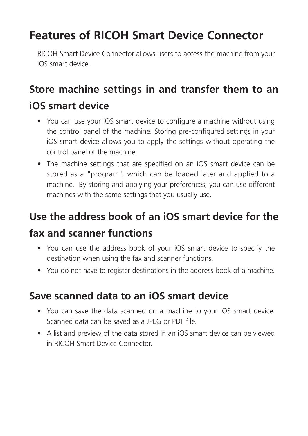## **Features of RICOH Smart Device Connector**

RICOH Smart Device Connector allows users to access the machine from your iOS smart device.

### **Store machine settings in and transfer them to an iOS smart device**

- You can use your iOS smart device to configure a machine without using the control panel of the machine. Storing pre-configured settings in your iOS smart device allows you to apply the settings without operating the control panel of the machine.
- The machine settings that are specified on an iOS smart device can be stored as a "program", which can be loaded later and applied to a machine. By storing and applying your preferences, you can use different machines with the same settings that you usually use.

### **Use the address book of an iOS smart device for the**

#### **fax and scanner functions**

- You can use the address book of your iOS smart device to specify the destination when using the fax and scanner functions.
- You do not have to register destinations in the address book of a machine.

#### **Save scanned data to an iOS smart device**

- You can save the data scanned on a machine to your iOS smart device. Scanned data can be saved as a JPEG or PDE file.
- A list and preview of the data stored in an iOS smart device can be viewed in RICOH Smart Device Connector.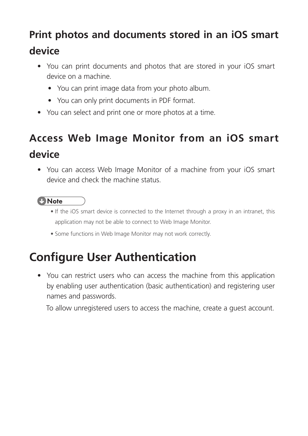### **Print photos and documents stored in an iOS smart**

#### **device**

- You can print documents and photos that are stored in your iOS smart device on a machine.
	- You can print image data from your photo album.
	- You can only print documents in PDF format.
- You can select and print one or more photos at a time.

# **Access Web Image Monitor from an iOS smart device**

• You can access Web Image Monitor of a machine from your iOS smart device and check the machine status.

#### **D** Note

- If the iOS smart device is connected to the Internet through a proxy in an intranet, this application may not be able to connect to Web Image Monitor.
- Some functions in Web Image Monitor may not work correctly.

# **Configure User Authentication**

• You can restrict users who can access the machine from this application by enabling user authentication (basic authentication) and registering user names and passwords.

To allow unregistered users to access the machine, create a guest account.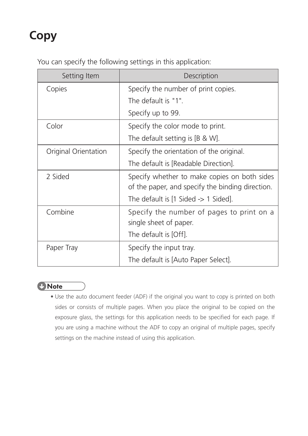# **Copy**

You can specify the following settings in this application:

| Setting Item         | Description                                                                                      |
|----------------------|--------------------------------------------------------------------------------------------------|
| Copies               | Specify the number of print copies.                                                              |
|                      | The default is "1".                                                                              |
|                      | Specify up to 99.                                                                                |
| Color                | Specify the color mode to print.                                                                 |
|                      | The default setting is $[B \& W]$ .                                                              |
| Original Orientation | Specify the orientation of the original.                                                         |
|                      | The default is [Readable Direction].                                                             |
| 2 Sided              | Specify whether to make copies on both sides<br>of the paper, and specify the binding direction. |
|                      | The default is $[1 \text{ Sided} \rightarrow 1 \text{ Sided}]$ .                                 |
| Combine              | Specify the number of pages to print on a                                                        |
|                      | single sheet of paper.                                                                           |
|                      | The default is [Off].                                                                            |
| Paper Tray           | Specify the input tray.                                                                          |
|                      | The default is [Auto Paper Select].                                                              |



• Use the auto document feeder (ADF) if the original you want to copy is printed on both sides or consists of multiple pages. When you place the original to be copied on the exposure glass, the settings for this application needs to be specified for each page. If you are using a machine without the ADF to copy an original of multiple pages, specify settings on the machine instead of using this application.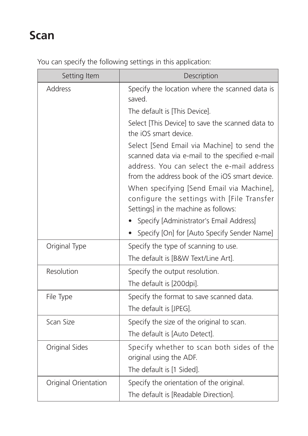# **Scan**

| Setting Item         | Description                                                                                                                                                                                    |  |
|----------------------|------------------------------------------------------------------------------------------------------------------------------------------------------------------------------------------------|--|
| <b>Address</b>       | Specify the location where the scanned data is<br>saved.                                                                                                                                       |  |
|                      | The default is [This Device].                                                                                                                                                                  |  |
|                      | Select [This Device] to save the scanned data to<br>the iOS smart device.                                                                                                                      |  |
|                      | Select [Send Email via Machine] to send the<br>scanned data via e-mail to the specified e-mail<br>address. You can select the e-mail address<br>from the address book of the iOS smart device. |  |
|                      | When specifying [Send Email via Machine],<br>configure the settings with [File Transfer<br>Settings] in the machine as follows:                                                                |  |
|                      | Specify [Administrator's Email Address]                                                                                                                                                        |  |
|                      | Specify [On] for [Auto Specify Sender Name]                                                                                                                                                    |  |
| Original Type        | Specify the type of scanning to use.                                                                                                                                                           |  |
|                      | The default is [B&W Text/Line Art].                                                                                                                                                            |  |
| Resolution           | Specify the output resolution.                                                                                                                                                                 |  |
|                      | The default is [200dpi].                                                                                                                                                                       |  |
| File Type            | Specify the format to save scanned data.                                                                                                                                                       |  |
|                      | The default is [JPEG].                                                                                                                                                                         |  |
| Scan Size            | Specify the size of the original to scan.                                                                                                                                                      |  |
|                      | The default is [Auto Detect].                                                                                                                                                                  |  |
| Original Sides       | Specify whether to scan both sides of the<br>original using the ADF.                                                                                                                           |  |
|                      | The default is [1 Sided].                                                                                                                                                                      |  |
| Original Orientation | Specify the orientation of the original.                                                                                                                                                       |  |
|                      | The default is [Readable Direction].                                                                                                                                                           |  |

You can specify the following settings in this application: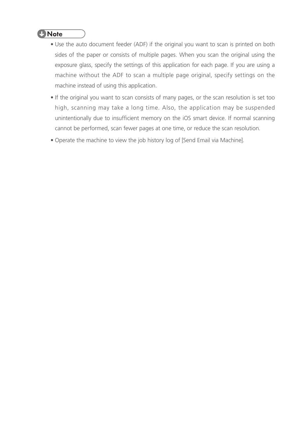#### **U** Note

- Use the auto document feeder (ADF) if the original you want to scan is printed on both sides of the paper or consists of multiple pages. When you scan the original using the exposure glass, specify the settings of this application for each page. If you are using a machine without the ADF to scan a multiple page original, specify settings on the machine instead of using this application.
- If the original you want to scan consists of many pages, or the scan resolution is set too high, scanning may take a long time. Also, the application may be suspended unintentionally due to insufficient memory on the iOS smart device. If normal scanning cannot be performed, scan fewer pages at one time, or reduce the scan resolution.
- Operate the machine to view the job history log of [Send Email via Machine].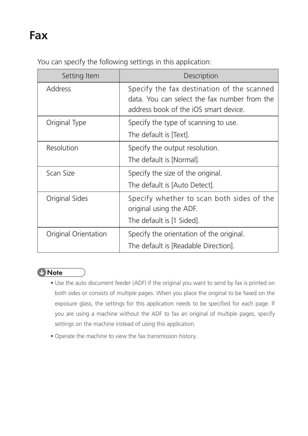### **Fax**

You can specify the following settings in this application:

| Setting Item         | Description                                                                                                                         |
|----------------------|-------------------------------------------------------------------------------------------------------------------------------------|
| <b>Address</b>       | Specify the fax destination of the scanned<br>data. You can select the fax number from the<br>address book of the iOS smart device. |
| Original Type        | Specify the type of scanning to use.                                                                                                |
|                      | The default is [Text].                                                                                                              |
| Resolution           | Specify the output resolution.                                                                                                      |
|                      | The default is [Normal].                                                                                                            |
| Scan Size            | Specify the size of the original.                                                                                                   |
|                      | The default is [Auto Detect].                                                                                                       |
| Original Sides       | Specify whether to scan both sides of the<br>original using the ADF.                                                                |
|                      | The default is [1 Sided].                                                                                                           |
| Original Orientation | Specify the orientation of the original.                                                                                            |
|                      | The default is [Readable Direction].                                                                                                |

#### *D* Note

- Use the auto document feeder (ADF) if the original you want to send by fax is printed on both sides or consists of multiple pages. When you place the original to be faxed on the exposure glass, the settings for this application needs to be specified for each page. If you are using a machine without the ADF to fax an original of multiple pages, specify settings on the machine instead of using this application.
- Operate the machine to view the fax transmission history.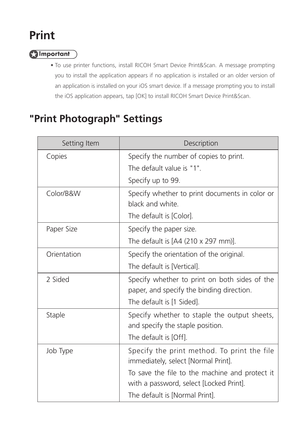# **Print**

#### **A**Important

• To use printer functions, install RICOH Smart Device Print&Scan. A message prompting you to install the application appears if no application is installed or an older version of an application is installed on your iOS smart device. If a message prompting you to install the iOS application appears, tap [OK] to install RICOH Smart Device Print&Scan.

#### **"Print Photograph" Settings**

| Setting Item | Description                                                                                |
|--------------|--------------------------------------------------------------------------------------------|
| Copies       | Specify the number of copies to print.<br>The default value is "1".                        |
|              | Specify up to 99.                                                                          |
| Color/B&W    | Specify whether to print documents in color or<br>black and white.                         |
|              | The default is [Color].                                                                    |
| Paper Size   | Specify the paper size.                                                                    |
|              | The default is $[A4 (210 \times 297 \text{ mm})]$ .                                        |
| Orientation  | Specify the orientation of the original.                                                   |
|              | The default is [Vertical].                                                                 |
| 2 Sided      | Specify whether to print on both sides of the<br>paper, and specify the binding direction. |
|              | The default is [1 Sided].                                                                  |
| Staple       | Specify whether to staple the output sheets,<br>and specify the staple position.           |
|              | The default is [Off].                                                                      |
| Job Type     | Specify the print method. To print the file<br>immediately, select [Normal Print].         |
|              | To save the file to the machine and protect it<br>with a password, select [Locked Print].  |
|              | The default is [Normal Print].                                                             |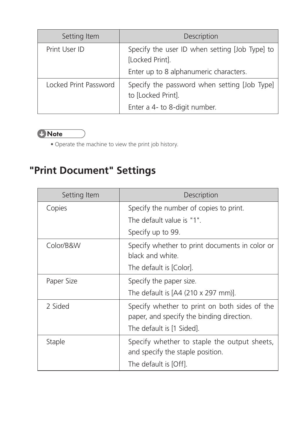| Setting Item          | <b>Description</b>                                                 |
|-----------------------|--------------------------------------------------------------------|
| Print User ID         | Specify the user ID when setting [Job Type] to<br>[Locked Print].  |
|                       | Enter up to 8 alphanumeric characters.                             |
| Locked Print Password | Specify the password when setting [Job Type]<br>to [Locked Print]. |
|                       | Enter a 4- to 8-digit number.                                      |

#### **U** Note

• Operate the machine to view the print job history.

# **"Print Document" Settings**

| Setting Item  | Description                                                                                                             |
|---------------|-------------------------------------------------------------------------------------------------------------------------|
| Copies        | Specify the number of copies to print.                                                                                  |
|               | The default value is "1".                                                                                               |
|               | Specify up to 99.                                                                                                       |
| Color/B&W     | Specify whether to print documents in color or<br>black and white.                                                      |
|               | The default is [Color].                                                                                                 |
| Paper Size    | Specify the paper size.                                                                                                 |
|               | The default is $[A4 (210 \times 297 \text{ mm})]$ .                                                                     |
| 2 Sided       | Specify whether to print on both sides of the<br>paper, and specify the binding direction.<br>The default is [1 Sided]. |
| <b>Staple</b> | Specify whether to staple the output sheets,<br>and specify the staple position.<br>The default is [Off].               |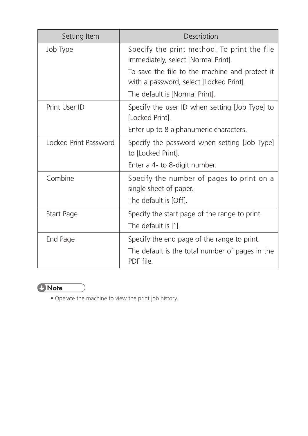| Setting Item          | Description                                                                               |
|-----------------------|-------------------------------------------------------------------------------------------|
| Job Type              | Specify the print method. To print the file<br>immediately, select [Normal Print].        |
|                       | To save the file to the machine and protect it<br>with a password, select [Locked Print]. |
|                       | The default is [Normal Print].                                                            |
| Print User ID         | Specify the user ID when setting [Job Type] to<br>[Locked Print].                         |
|                       | Enter up to 8 alphanumeric characters.                                                    |
| Locked Print Password | Specify the password when setting [Job Type]<br>to [Locked Print].                        |
|                       | Enter a 4- to 8-digit number.                                                             |
| Combine               | Specify the number of pages to print on a<br>single sheet of paper.                       |
|                       | The default is [Off].                                                                     |
| Start Page            | Specify the start page of the range to print.                                             |
|                       | The default is [1].                                                                       |
| End Page              | Specify the end page of the range to print.                                               |
|                       | The default is the total number of pages in the<br>PDF file.                              |



• Operate the machine to view the print job history.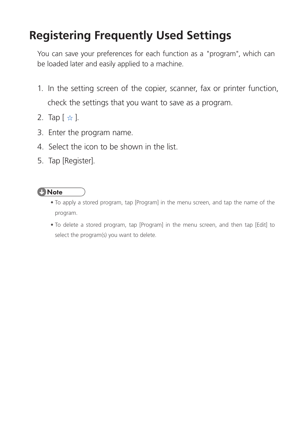# **Registering Frequently Used Settings**

You can save your preferences for each function as a "program", which can be loaded later and easily applied to a machine.

- 1. In the setting screen of the copier, scanner, fax or printer function, check the settings that you want to save as a program.
- 2. Tap  $[\; \star \; ]$ .
- 3. Enter the program name.
- 4. Select the icon to be shown in the list.
- 5. Tap [Register].

#### *D* Note

- To apply a stored program, tap [Program] in the menu screen, and tap the name of the program.
- To delete a stored program, tap [Program] in the menu screen, and then tap [Edit] to select the program(s) you want to delete.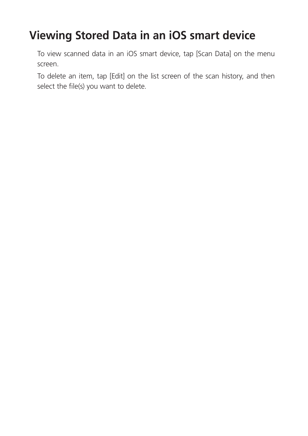### **Viewing Stored Data in an iOS smart device**

To view scanned data in an iOS smart device, tap [Scan Data] on the menu screen.

To delete an item, tap [Edit] on the list screen of the scan history, and then select the file(s) you want to delete.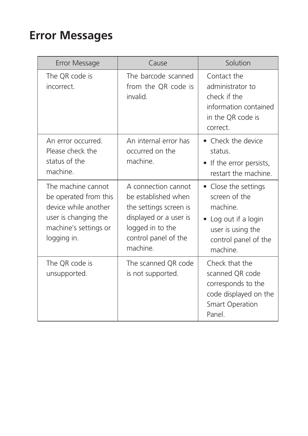### **Error Messages**

| Error Message                                                                                                                       | Cause                                                                                                                                                  | Solution                                                                                                                         |
|-------------------------------------------------------------------------------------------------------------------------------------|--------------------------------------------------------------------------------------------------------------------------------------------------------|----------------------------------------------------------------------------------------------------------------------------------|
| The QR code is<br>incorrect.                                                                                                        | The barcode scanned<br>from the QR code is<br>invalid.                                                                                                 | Contact the<br>administrator to<br>check if the<br>information contained<br>in the QR code is<br>correct.                        |
| An error occurred.<br>Please check the<br>status of the<br>machine.                                                                 | An internal error has<br>occurred on the<br>machine.                                                                                                   | • Check the device<br>status.<br>• If the error persists,<br>restart the machine.                                                |
| The machine cannot<br>be operated from this<br>device while another<br>user is changing the<br>machine's settings or<br>logging in. | A connection cannot<br>be established when<br>the settings screen is<br>displayed or a user is<br>logged in to the<br>control panel of the<br>machine. | • Close the settings<br>screen of the<br>machine.<br>Log out if a login<br>user is using the<br>control panel of the<br>machine. |
| The QR code is<br>unsupported.                                                                                                      | The scanned QR code<br>is not supported.                                                                                                               | Check that the<br>scanned QR code<br>corresponds to the<br>code displayed on the<br><b>Smart Operation</b><br>Panel.             |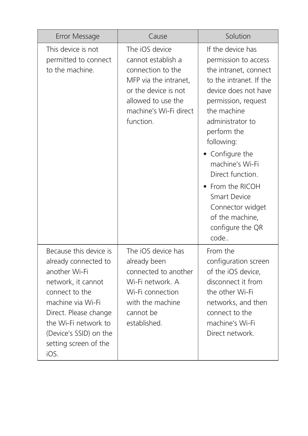| Error Message                                                                                                                                                                                                                            | Cause                                                                                                                                                                   | Solution                                                                                                                                                                                                                                                                                                                                                                           |
|------------------------------------------------------------------------------------------------------------------------------------------------------------------------------------------------------------------------------------------|-------------------------------------------------------------------------------------------------------------------------------------------------------------------------|------------------------------------------------------------------------------------------------------------------------------------------------------------------------------------------------------------------------------------------------------------------------------------------------------------------------------------------------------------------------------------|
| This device is not<br>permitted to connect<br>to the machine.                                                                                                                                                                            | The iOS device<br>cannot establish a<br>connection to the<br>MFP via the intranet,<br>or the device is not<br>allowed to use the<br>machine's Wi-Fi direct<br>function. | If the device has<br>permission to access<br>the intranet, connect<br>to the intranet. If the<br>device does not have<br>permission, request<br>the machine<br>administrator to<br>perform the<br>following:<br>• Configure the<br>machine's Wi-Fi<br>Direct function.<br>From the RICOH<br><b>Smart Device</b><br>Connector widget<br>of the machine,<br>configure the QR<br>code |
| Because this device is<br>already connected to<br>another Wi-Fi<br>network, it cannot<br>connect to the<br>machine via Wi-Fi<br>Direct. Please change<br>the Wi-Fi network to<br>(Device's SSID) on the<br>setting screen of the<br>iOS. | The iOS device has<br>already been<br>connected to another<br>Wi-Fi network. A<br>Wi-Fi connection<br>with the machine<br>cannot be<br>established.                     | From the<br>configuration screen<br>of the iOS device,<br>disconnect it from<br>the other Wi-Fi<br>networks, and then<br>connect to the<br>machine's Wi-Fi<br>Direct network.                                                                                                                                                                                                      |